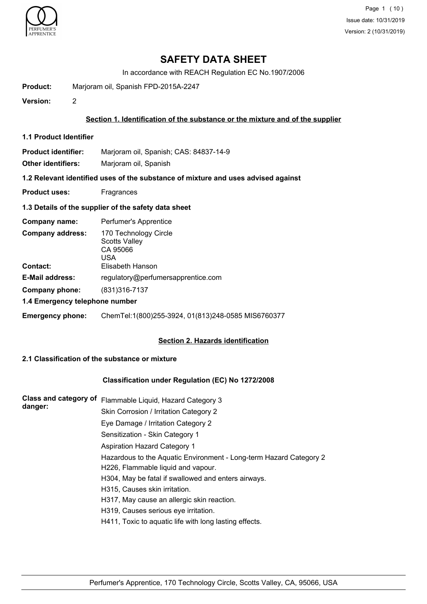

Page 1 (10) Issue date: 10/31/2019 Version: 2 (10/31/2019)

## **SAFETY DATA SHEET**

In accordance with REACH Regulation EC No.1907/2006

**Product:** Marjoram oil, Spanish FPD-2015A-2247

**Version:** 2

#### **Section 1. Identification of the substance or the mixture and of the supplier**

**1.1 Product Identifier**

**Product identifier:** Marjoram oil, Spanish; CAS: 84837-14-9

**Other identifiers:** Marjoram oil, Spanish

**1.2 Relevant identified uses of the substance of mixture and uses advised against**

**Product uses:** Fragrances

### **1.3 Details of the supplier of the safety data sheet**

| Company name:                  | Perfumer's Apprentice                                            |
|--------------------------------|------------------------------------------------------------------|
| <b>Company address:</b>        | 170 Technology Circle<br><b>Scotts Valley</b><br>CA 95066<br>USA |
| Contact:                       | Elisabeth Hanson                                                 |
| <b>E-Mail address:</b>         | regulatory@perfumersapprentice.com                               |
| Company phone:                 | (831) 316 - 7137                                                 |
| 1.4 Emergency telephone number |                                                                  |
| <b>Emergency phone:</b>        | ChemTel:1(800)255-3924, 01(813)248-0585 MIS6760377               |

### **Section 2. Hazards identification**

## **2.1 Classification of the substance or mixture**

### **Classification under Regulation (EC) No 1272/2008**

| <b>Class and category of</b><br>danger: | Flammable Liquid, Hazard Category 3                                |
|-----------------------------------------|--------------------------------------------------------------------|
|                                         | Skin Corrosion / Irritation Category 2                             |
|                                         | Eye Damage / Irritation Category 2                                 |
|                                         | Sensitization - Skin Category 1                                    |
|                                         | Aspiration Hazard Category 1                                       |
|                                         | Hazardous to the Aquatic Environment - Long-term Hazard Category 2 |
|                                         | H226, Flammable liquid and vapour.                                 |
|                                         | H304, May be fatal if swallowed and enters airways.                |
|                                         | H315, Causes skin irritation.                                      |
|                                         | H317, May cause an allergic skin reaction.                         |
|                                         | H319, Causes serious eye irritation.                               |
|                                         | H411, Toxic to aquatic life with long lasting effects.             |
|                                         |                                                                    |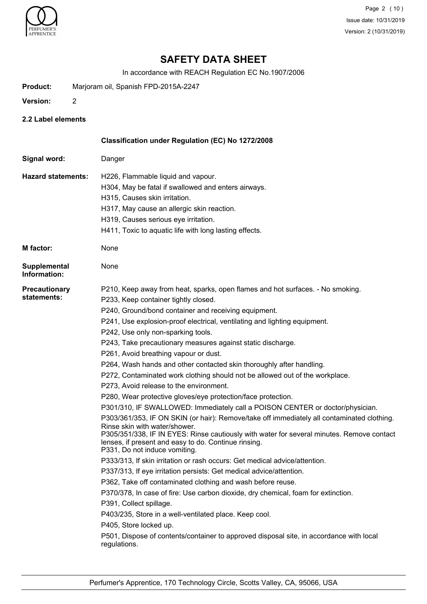

Page 2 (10) Issue date: 10/31/2019 Version: 2 (10/31/2019)

## **SAFETY DATA SHEET**

In accordance with REACH Regulation EC No.1907/2006

- **Product:** Marjoram oil, Spanish FPD-2015A-2247
- **Version:** 2
- **2.2 Label elements**

| Classification under Regulation (EC) No 1272/2008                                                                                                                                                                                                                                                                                                                                                                                                                                                                                                                                                                                                                                                                                                                                                                                                                                                                                                                                                                                                                                                                                                                                                                                                                                                                                                                                                                                                                                                                                                                                                                     |
|-----------------------------------------------------------------------------------------------------------------------------------------------------------------------------------------------------------------------------------------------------------------------------------------------------------------------------------------------------------------------------------------------------------------------------------------------------------------------------------------------------------------------------------------------------------------------------------------------------------------------------------------------------------------------------------------------------------------------------------------------------------------------------------------------------------------------------------------------------------------------------------------------------------------------------------------------------------------------------------------------------------------------------------------------------------------------------------------------------------------------------------------------------------------------------------------------------------------------------------------------------------------------------------------------------------------------------------------------------------------------------------------------------------------------------------------------------------------------------------------------------------------------------------------------------------------------------------------------------------------------|
| Danger                                                                                                                                                                                                                                                                                                                                                                                                                                                                                                                                                                                                                                                                                                                                                                                                                                                                                                                                                                                                                                                                                                                                                                                                                                                                                                                                                                                                                                                                                                                                                                                                                |
| H226, Flammable liquid and vapour.<br>H304, May be fatal if swallowed and enters airways.<br>H315, Causes skin irritation.<br>H317, May cause an allergic skin reaction.<br>H319, Causes serious eye irritation.<br>H411, Toxic to aquatic life with long lasting effects.                                                                                                                                                                                                                                                                                                                                                                                                                                                                                                                                                                                                                                                                                                                                                                                                                                                                                                                                                                                                                                                                                                                                                                                                                                                                                                                                            |
| None                                                                                                                                                                                                                                                                                                                                                                                                                                                                                                                                                                                                                                                                                                                                                                                                                                                                                                                                                                                                                                                                                                                                                                                                                                                                                                                                                                                                                                                                                                                                                                                                                  |
| None                                                                                                                                                                                                                                                                                                                                                                                                                                                                                                                                                                                                                                                                                                                                                                                                                                                                                                                                                                                                                                                                                                                                                                                                                                                                                                                                                                                                                                                                                                                                                                                                                  |
| P210, Keep away from heat, sparks, open flames and hot surfaces. - No smoking.<br>P233, Keep container tightly closed.<br>P240, Ground/bond container and receiving equipment.<br>P241, Use explosion-proof electrical, ventilating and lighting equipment.<br>P242, Use only non-sparking tools.<br>P243, Take precautionary measures against static discharge.<br>P261, Avoid breathing vapour or dust.<br>P264, Wash hands and other contacted skin thoroughly after handling.<br>P272, Contaminated work clothing should not be allowed out of the workplace.<br>P273, Avoid release to the environment.<br>P280, Wear protective gloves/eye protection/face protection.<br>P301/310, IF SWALLOWED: Immediately call a POISON CENTER or doctor/physician.<br>P303/361/353, IF ON SKIN (or hair): Remove/take off immediately all contaminated clothing.<br>Rinse skin with water/shower.<br>P305/351/338, IF IN EYES: Rinse cautiously with water for several minutes. Remove contact<br>lenses, if present and easy to do. Continue rinsing.<br>P331, Do not induce vomiting.<br>P333/313, If skin irritation or rash occurs: Get medical advice/attention.<br>P337/313, If eye irritation persists: Get medical advice/attention.<br>P362, Take off contaminated clothing and wash before reuse.<br>P370/378, In case of fire: Use carbon dioxide, dry chemical, foam for extinction.<br>P391, Collect spillage.<br>P403/235, Store in a well-ventilated place. Keep cool.<br>P405, Store locked up.<br>P501, Dispose of contents/container to approved disposal site, in accordance with local<br>regulations. |
|                                                                                                                                                                                                                                                                                                                                                                                                                                                                                                                                                                                                                                                                                                                                                                                                                                                                                                                                                                                                                                                                                                                                                                                                                                                                                                                                                                                                                                                                                                                                                                                                                       |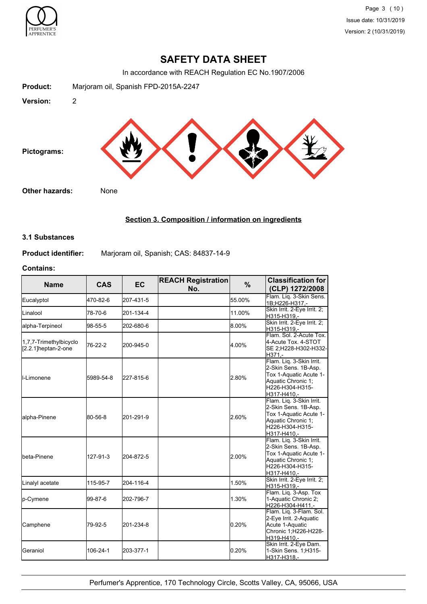

## **SAFETY DATA SHEET**

In accordance with REACH Regulation EC No.1907/2006



## **Section 3. Composition / information on ingredients**

#### **3.1 Substances**

**Product identifier:** Marjoram oil, Spanish; CAS: 84837-14-9

### **Contains:**

| <b>Name</b>                                   | <b>CAS</b> | <b>EC</b> | <b>REACH Registration</b><br>%<br>No. |        | <b>Classification for</b><br>(CLP) 1272/2008                                                                                       |
|-----------------------------------------------|------------|-----------|---------------------------------------|--------|------------------------------------------------------------------------------------------------------------------------------------|
| Eucalyptol                                    | 470-82-6   | 207-431-5 |                                       | 55.00% | Flam. Lig. 3-Skin Sens.<br>1B:H226-H317 .-                                                                                         |
| Linalool                                      | 78-70-6    | 201-134-4 |                                       | 11.00% | Skin Irrit. 2-Eye Irrit. 2;<br>H315-H319.-                                                                                         |
| alpha-Terpineol                               | 98-55-5    | 202-680-6 |                                       | 8.00%  | Skin Irrit. 2-Eye Irrit. 2;<br>H315-H319,-                                                                                         |
| 1,7,7-Trimethylbicyclo<br>[2.2.1]heptan-2-one | 76-22-2    | 200-945-0 |                                       | 4.00%  | Flam, Sol. 2-Acute Tox.<br>4-Acute Tox. 4-STOT<br>SE 2;H228-H302-H332-<br>H371.-                                                   |
| ll-Limonene                                   | 5989-54-8  | 227-815-6 |                                       | 2.80%  | Flam. Lig. 3-Skin Irrit.<br>2-Skin Sens. 1B-Asp.<br>Tox 1-Aquatic Acute 1-<br>Aquatic Chronic 1;<br>H226-H304-H315-<br>H317-H410.- |
| alpha-Pinene                                  | 80-56-8    | 201-291-9 |                                       | 2.60%  | Flam. Lig. 3-Skin Irrit.<br>2-Skin Sens. 1B-Asp.<br>Tox 1-Aquatic Acute 1-<br>Aquatic Chronic 1;<br>H226-H304-H315-<br>H317-H410.- |
| lbeta-Pinene                                  | 127-91-3   | 204-872-5 |                                       | 2.00%  | Flam. Lig. 3-Skin Irrit.<br>2-Skin Sens. 1B-Asp.<br>Tox 1-Aquatic Acute 1-<br>Aquatic Chronic 1;<br>H226-H304-H315-<br>H317-H410.- |
| Linalyl acetate                               | 115-95-7   | 204-116-4 |                                       | 1.50%  | Skin Irrit. 2-Eye Irrit. 2;<br>H315-H319,-                                                                                         |
| p-Cymene                                      | 99-87-6    | 202-796-7 |                                       | 1.30%  | Flam. Liq. 3-Asp. Tox<br>1-Aquatic Chronic 2;<br>H226-H304-H411,-                                                                  |
| Camphene                                      | 79-92-5    | 201-234-8 |                                       | 0.20%  | Flam. Liq. 3-Flam. Sol.<br>2-Eye Irrit. 2-Aquatic<br>Acute 1-Aquatic<br>Chronic 1:H226-H228-<br>H319-H410.-                        |
| Geraniol                                      | 106-24-1   | 203-377-1 |                                       | 0.20%  | Skin Irrit. 2-Eye Dam.<br>1-Skin Sens. 1;H315-<br>H317-H318,-                                                                      |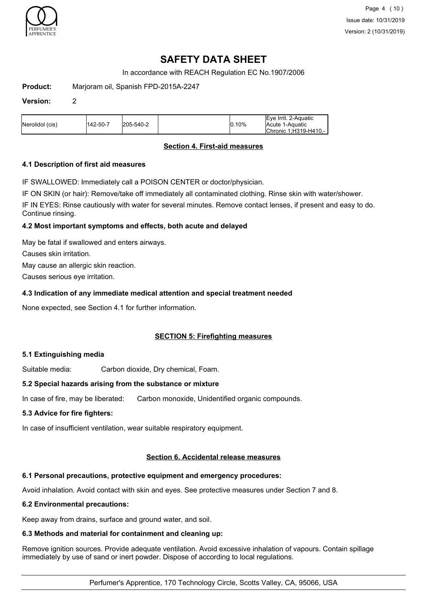

# **SAFETY DATA SHEET**

In accordance with REACH Regulation EC No.1907/2006

**Product:** Marjoram oil, Spanish FPD-2015A-2247

#### **Version:** 2

| Nerolidol (cis) | 1142-50-7 | 205-540-2 | $ 0.10\%$ | lEve Irrit. 2-Aquatic<br>Acute 1-Aquatic |
|-----------------|-----------|-----------|-----------|------------------------------------------|
|                 |           |           |           | Chronic 1:H319-H410.-                    |

### **Section 4. First-aid measures**

### **4.1 Description of first aid measures**

IF SWALLOWED: Immediately call a POISON CENTER or doctor/physician.

IF ON SKIN (or hair): Remove/take off immediately all contaminated clothing. Rinse skin with water/shower.

IF IN EYES: Rinse cautiously with water for several minutes. Remove contact lenses, if present and easy to do. Continue rinsing.

#### **4.2 Most important symptoms and effects, both acute and delayed**

May be fatal if swallowed and enters airways.

Causes skin irritation.

May cause an allergic skin reaction.

Causes serious eye irritation.

### **4.3 Indication of any immediate medical attention and special treatment needed**

None expected, see Section 4.1 for further information.

### **SECTION 5: Firefighting measures**

### **5.1 Extinguishing media**

Suitable media: Carbon dioxide, Dry chemical, Foam.

### **5.2 Special hazards arising from the substance or mixture**

In case of fire, may be liberated: Carbon monoxide, Unidentified organic compounds.

### **5.3 Advice for fire fighters:**

In case of insufficient ventilation, wear suitable respiratory equipment.

### **Section 6. Accidental release measures**

### **6.1 Personal precautions, protective equipment and emergency procedures:**

Avoid inhalation. Avoid contact with skin and eyes. See protective measures under Section 7 and 8.

#### **6.2 Environmental precautions:**

Keep away from drains, surface and ground water, and soil.

### **6.3 Methods and material for containment and cleaning up:**

Remove ignition sources. Provide adequate ventilation. Avoid excessive inhalation of vapours. Contain spillage immediately by use of sand or inert powder. Dispose of according to local regulations.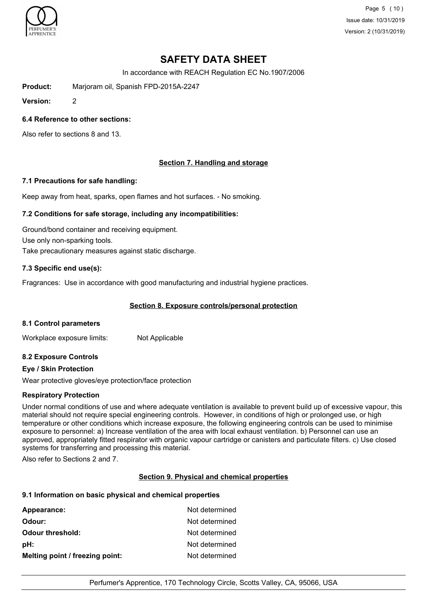

Page 5 (10) Issue date: 10/31/2019 Version: 2 (10/31/2019)

# **SAFETY DATA SHEET**

In accordance with REACH Regulation EC No.1907/2006

**Product:** Marjoram oil, Spanish FPD-2015A-2247

**Version:** 2

### **6.4 Reference to other sections:**

Also refer to sections 8 and 13.

## **Section 7. Handling and storage**

#### **7.1 Precautions for safe handling:**

Keep away from heat, sparks, open flames and hot surfaces. - No smoking.

### **7.2 Conditions for safe storage, including any incompatibilities:**

Ground/bond container and receiving equipment. Use only non-sparking tools. Take precautionary measures against static discharge.

### **7.3 Specific end use(s):**

Fragrances: Use in accordance with good manufacturing and industrial hygiene practices.

### **Section 8. Exposure controls/personal protection**

### **8.1 Control parameters**

Workplace exposure limits: Not Applicable

### **8.2 Exposure Controls**

### **Eye / Skin Protection**

Wear protective gloves/eye protection/face protection

### **Respiratory Protection**

Under normal conditions of use and where adequate ventilation is available to prevent build up of excessive vapour, this material should not require special engineering controls. However, in conditions of high or prolonged use, or high temperature or other conditions which increase exposure, the following engineering controls can be used to minimise exposure to personnel: a) Increase ventilation of the area with local exhaust ventilation. b) Personnel can use an approved, appropriately fitted respirator with organic vapour cartridge or canisters and particulate filters. c) Use closed systems for transferring and processing this material.

Also refer to Sections 2 and 7.

### **Section 9. Physical and chemical properties**

#### **9.1 Information on basic physical and chemical properties**

| Appearance:                     | Not determined |
|---------------------------------|----------------|
| Odour:                          | Not determined |
| <b>Odour threshold:</b>         | Not determined |
| pH:                             | Not determined |
| Melting point / freezing point: | Not determined |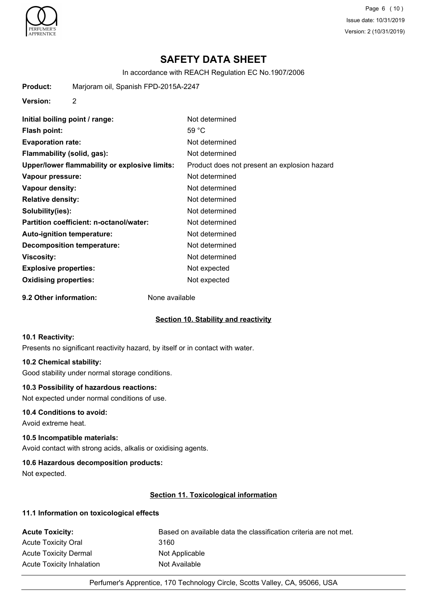

Page 6 (10) Issue date: 10/31/2019 Version: 2 (10/31/2019)

## **SAFETY DATA SHEET**

In accordance with REACH Regulation EC No.1907/2006

**Product:** Marjoram oil, Spanish FPD-2015A-2247

**Version:** 2

| Initial boiling point / range:                | Not determined                               |
|-----------------------------------------------|----------------------------------------------|
| Flash point:                                  | 59 $^{\circ}$ C                              |
| <b>Evaporation rate:</b>                      | Not determined                               |
| Flammability (solid, gas):                    | Not determined                               |
| Upper/lower flammability or explosive limits: | Product does not present an explosion hazard |
| Vapour pressure:                              | Not determined                               |
| Vapour density:                               | Not determined                               |
| <b>Relative density:</b>                      | Not determined                               |
| Solubility(ies):                              | Not determined                               |
| Partition coefficient: n-octanol/water:       | Not determined                               |
| <b>Auto-ignition temperature:</b>             | Not determined                               |
| <b>Decomposition temperature:</b>             | Not determined                               |
| Viscosity:                                    | Not determined                               |
| <b>Explosive properties:</b>                  | Not expected                                 |
| <b>Oxidising properties:</b>                  | Not expected                                 |

**9.2 Other information:** None available

### **Section 10. Stability and reactivity**

#### **10.1 Reactivity:**

Presents no significant reactivity hazard, by itself or in contact with water.

#### **10.2 Chemical stability:**

Good stability under normal storage conditions.

#### **10.3 Possibility of hazardous reactions:**

Not expected under normal conditions of use.

#### **10.4 Conditions to avoid:**

Avoid extreme heat.

### **10.5 Incompatible materials:**

Avoid contact with strong acids, alkalis or oxidising agents.

### **10.6 Hazardous decomposition products:**

Not expected.

## **Section 11. Toxicological information**

#### **11.1 Information on toxicological effects**

| <b>Acute Toxicity:</b>       | Based on available data the classification criteria are not met. |
|------------------------------|------------------------------------------------------------------|
| <b>Acute Toxicity Oral</b>   | 3160                                                             |
| <b>Acute Toxicity Dermal</b> | Not Applicable                                                   |
| Acute Toxicity Inhalation    | Not Available                                                    |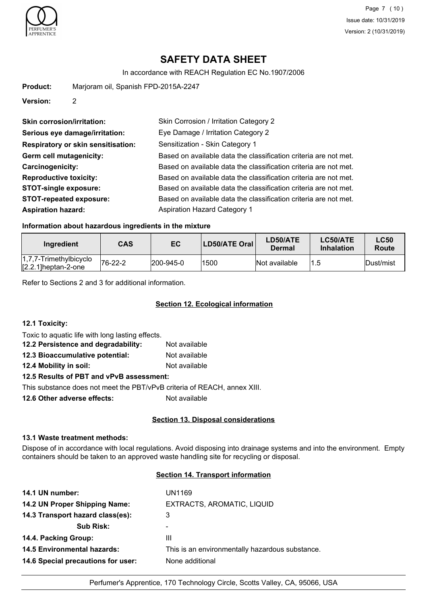

Page 7 (10) Issue date: 10/31/2019 Version: 2 (10/31/2019)

# **SAFETY DATA SHEET**

In accordance with REACH Regulation EC No.1907/2006

| <b>Product:</b> | Marjoram oil, Spanish FPD-2015A-2247 |
|-----------------|--------------------------------------|
| <b>Version:</b> |                                      |

| <b>Skin corrosion/irritation:</b>         | Skin Corrosion / Irritation Category 2                           |
|-------------------------------------------|------------------------------------------------------------------|
| Serious eye damage/irritation:            | Eye Damage / Irritation Category 2                               |
| <b>Respiratory or skin sensitisation:</b> | Sensitization - Skin Category 1                                  |
| Germ cell mutagenicity:                   | Based on available data the classification criteria are not met. |
| Carcinogenicity:                          | Based on available data the classification criteria are not met. |
| <b>Reproductive toxicity:</b>             | Based on available data the classification criteria are not met. |
| <b>STOT-single exposure:</b>              | Based on available data the classification criteria are not met. |
| <b>STOT-repeated exposure:</b>            | Based on available data the classification criteria are not met. |
| <b>Aspiration hazard:</b>                 | <b>Aspiration Hazard Category 1</b>                              |

### **Information about hazardous ingredients in the mixture**

| Ingredient                                          | CAS     | EC                | LD50/ATE Oral | LD50/ATE<br>Dermal | LC50/ATE<br><b>Inhalation</b> | <b>LC50</b><br>Route |
|-----------------------------------------------------|---------|-------------------|---------------|--------------------|-------------------------------|----------------------|
| $1,7,7$ -Trimethylbicyclo<br>$[2.2.1]$ heptan-2-one | 76-22-2 | $ 200 - 945 - 0 $ | 1500          | Not available      | 1.5                           | Dust/mist            |

Refer to Sections 2 and 3 for additional information.

### **Section 12. Ecological information**

### **12.1 Toxicity:**

Toxic to aquatic life with long lasting effects.

| 12.2 Persistence and degradability:                                | Not available |  |  |  |
|--------------------------------------------------------------------|---------------|--|--|--|
| 12.3 Bioaccumulative potential:                                    | Not available |  |  |  |
| 12.4 Mobility in soil:                                             | Not available |  |  |  |
| 12.5 Results of PBT and vPvB assessment:                           |               |  |  |  |
| This substance deep not meet the DDT $b$ . D. $D$ suitania of DEAC |               |  |  |  |

This substance does not meet the PBT/vPvB criteria of REACH, annex XIII.

**12.6 Other adverse effects:** Not available

### **Section 13. Disposal considerations**

#### **13.1 Waste treatment methods:**

Dispose of in accordance with local regulations. Avoid disposing into drainage systems and into the environment. Empty containers should be taken to an approved waste handling site for recycling or disposal.

#### **Section 14. Transport information**

| 14.1 UN number:                    | UN1169                                          |
|------------------------------------|-------------------------------------------------|
| 14.2 UN Proper Shipping Name:      | EXTRACTS, AROMATIC, LIQUID                      |
| 14.3 Transport hazard class(es):   | 3                                               |
| <b>Sub Risk:</b>                   | -                                               |
| 14.4. Packing Group:               | Ш                                               |
| <b>14.5 Environmental hazards:</b> | This is an environmentally hazardous substance. |
| 14.6 Special precautions for user: | None additional                                 |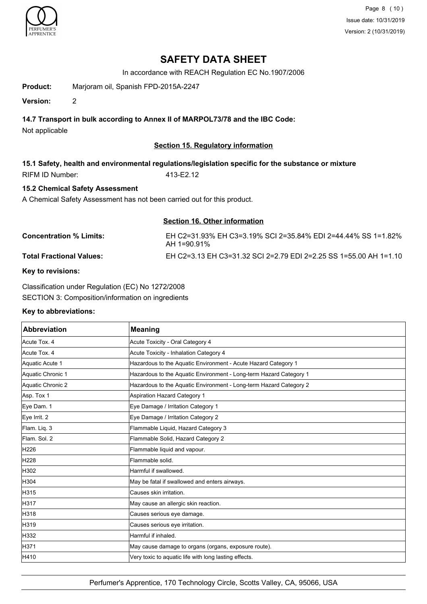

Page 8 (10) Issue date: 10/31/2019 Version: 2 (10/31/2019)

## **SAFETY DATA SHEET**

In accordance with REACH Regulation EC No.1907/2006

**Product:** Marjoram oil, Spanish FPD-2015A-2247

**Version:** 2

## **14.7 Transport in bulk according to Annex II of MARPOL73/78 and the IBC Code:**

Not applicable

## **Section 15. Regulatory information**

**15.1 Safety, health and environmental regulations/legislation specific for the substance or mixture** RIFM ID Number: 413-E2.12

## **15.2 Chemical Safety Assessment**

A Chemical Safety Assessment has not been carried out for this product.

| <b>Section 16. Other information</b> |                                                                                 |  |
|--------------------------------------|---------------------------------------------------------------------------------|--|
| <b>Concentration % Limits:</b>       | EH C2=31.93% EH C3=3.19% SCI 2=35.84% EDI 2=44.44% SS 1=1.82%<br>$AH 1=90.91\%$ |  |
| <b>Total Fractional Values:</b>      | EH C2=3.13 EH C3=31.32 SCI 2=2.79 EDI 2=2.25 SS 1=55.00 AH 1=1.10               |  |
|                                      |                                                                                 |  |

### **Key to revisions:**

Classification under Regulation (EC) No 1272/2008 SECTION 3: Composition/information on ingredients

### **Key to abbreviations:**

| Abbreviation      | <b>Meaning</b>                                                     |
|-------------------|--------------------------------------------------------------------|
| Acute Tox, 4      | Acute Toxicity - Oral Category 4                                   |
| Acute Tox. 4      | Acute Toxicity - Inhalation Category 4                             |
| Aquatic Acute 1   | Hazardous to the Aquatic Environment - Acute Hazard Category 1     |
| Aquatic Chronic 1 | Hazardous to the Aquatic Environment - Long-term Hazard Category 1 |
| Aquatic Chronic 2 | Hazardous to the Aquatic Environment - Long-term Hazard Category 2 |
| Asp. Tox 1        | <b>Aspiration Hazard Category 1</b>                                |
| Eye Dam. 1        | Eye Damage / Irritation Category 1                                 |
| Eye Irrit. 2      | Eye Damage / Irritation Category 2                                 |
| Flam. Liq. 3      | Flammable Liquid, Hazard Category 3                                |
| Flam. Sol. 2      | Flammable Solid, Hazard Category 2                                 |
| H226              | Flammable liquid and vapour.                                       |
| H228              | Flammable solid.                                                   |
| H302              | Harmful if swallowed.                                              |
| H304              | May be fatal if swallowed and enters airways.                      |
| H315              | Causes skin irritation.                                            |
| H317              | May cause an allergic skin reaction.                               |
| H318              | Causes serious eye damage.                                         |
| H319              | Causes serious eye irritation.                                     |
| H332              | Harmful if inhaled.                                                |
| H371              | May cause damage to organs (organs, exposure route).               |
| H410              | Very toxic to aquatic life with long lasting effects.              |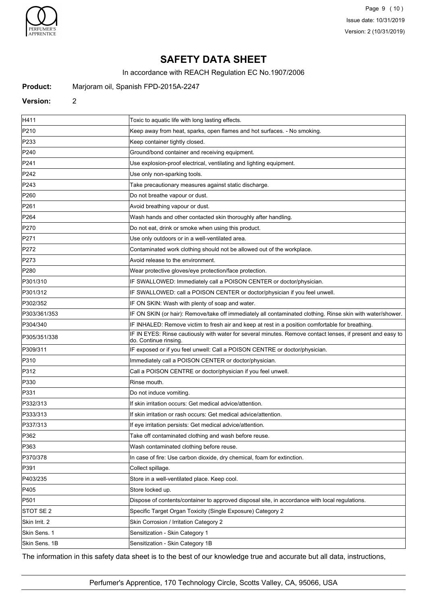

Page 9 (10) Issue date: 10/31/2019 Version: 2 (10/31/2019)

# **SAFETY DATA SHEET**

In accordance with REACH Regulation EC No.1907/2006

**Product:** Marjoram oil, Spanish FPD-2015A-2247

#### **Version:** 2

| H411             | Toxic to aquatic life with long lasting effects.                                                                                    |
|------------------|-------------------------------------------------------------------------------------------------------------------------------------|
| P210             | Keep away from heat, sparks, open flames and hot surfaces. - No smoking.                                                            |
| P233             | Keep container tightly closed.                                                                                                      |
| P240             | Ground/bond container and receiving equipment.                                                                                      |
| P241             | Use explosion-proof electrical, ventilating and lighting equipment.                                                                 |
| P242             | Use only non-sparking tools.                                                                                                        |
| P243             | Take precautionary measures against static discharge.                                                                               |
| P <sub>260</sub> | Do not breathe vapour or dust.                                                                                                      |
| P261             | Avoid breathing vapour or dust.                                                                                                     |
| P <sub>264</sub> | Wash hands and other contacted skin thoroughly after handling.                                                                      |
| P270             | Do not eat, drink or smoke when using this product.                                                                                 |
| P271             | Use only outdoors or in a well-ventilated area.                                                                                     |
| P272             | Contaminated work clothing should not be allowed out of the workplace.                                                              |
| P273             | Avoid release to the environment.                                                                                                   |
| P280             | Wear protective gloves/eye protection/face protection.                                                                              |
| P301/310         | IF SWALLOWED: Immediately call a POISON CENTER or doctor/physician.                                                                 |
| P301/312         | IF SWALLOWED: call a POISON CENTER or doctor/physician if you feel unwell.                                                          |
| P302/352         | IF ON SKIN: Wash with plenty of soap and water.                                                                                     |
| P303/361/353     | IF ON SKIN (or hair): Remove/take off immediately all contaminated clothing. Rinse skin with water/shower.                          |
| P304/340         | IF INHALED: Remove victim to fresh air and keep at rest in a position comfortable for breathing.                                    |
| P305/351/338     | IF IN EYES: Rinse cautiously with water for several minutes. Remove contact lenses, if present and easy to<br>do. Continue rinsing. |
| P309/311         | IF exposed or if you feel unwell: Call a POISON CENTRE or doctor/physician.                                                         |
| P310             | Immediately call a POISON CENTER or doctor/physician.                                                                               |
| P312             | Call a POISON CENTRE or doctor/physician if you feel unwell.                                                                        |
| P330             | Rinse mouth.                                                                                                                        |
| P331             | Do not induce vomiting.                                                                                                             |
| P332/313         | If skin irritation occurs: Get medical advice/attention.                                                                            |
| P333/313         | If skin irritation or rash occurs: Get medical advice/attention.                                                                    |
| P337/313         | If eye irritation persists: Get medical advice/attention.                                                                           |
| P362             | Take off contaminated clothing and wash before reuse.                                                                               |
| P363             | Wash contaminated clothing before reuse.                                                                                            |
| P370/378         | In case of fire: Use carbon dioxide, dry chemical, foam for extinction.                                                             |
| P391             | Collect spillage.                                                                                                                   |
| P403/235         | Store in a well-ventilated place. Keep cool.                                                                                        |
| P405             | Store locked up.                                                                                                                    |
| P501             | Dispose of contents/container to approved disposal site, in accordance with local regulations.                                      |
| STOT SE 2        | Specific Target Organ Toxicity (Single Exposure) Category 2                                                                         |
| Skin Irrit. 2    | Skin Corrosion / Irritation Category 2                                                                                              |
| Skin Sens. 1     | Sensitization - Skin Category 1                                                                                                     |
| Skin Sens. 1B    | Sensitization - Skin Category 1B                                                                                                    |

The information in this safety data sheet is to the best of our knowledge true and accurate but all data, instructions,